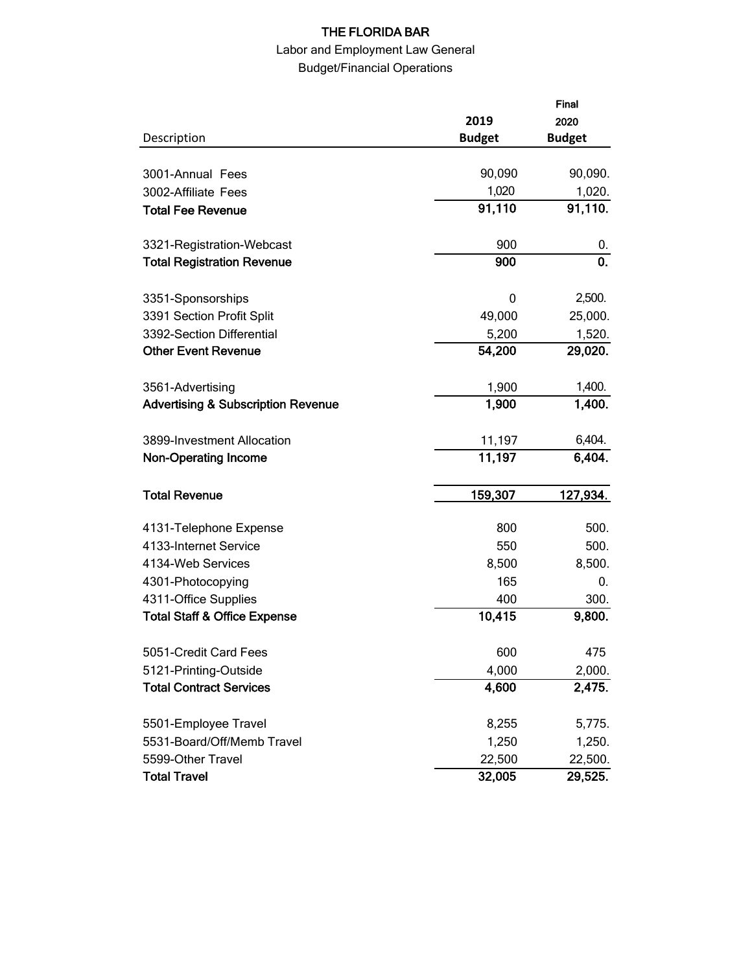# THE FLORIDA BAR

# Labor and Employment Law General Budget/Financial Operations

|                                               |               | Final<br>2020 |
|-----------------------------------------------|---------------|---------------|
|                                               | 2019          |               |
| Description                                   | <b>Budget</b> | <b>Budget</b> |
|                                               |               |               |
| 3001-Annual Fees                              | 90,090        | 90,090.       |
| 3002-Affiliate Fees                           | 1,020         | 1,020.        |
| <b>Total Fee Revenue</b>                      | 91,110        | 91,110.       |
| 3321-Registration-Webcast                     | 900           | 0.            |
| <b>Total Registration Revenue</b>             | 900           | 0.            |
| 3351-Sponsorships                             | 0             | 2,500.        |
| 3391 Section Profit Split                     | 49,000        | 25,000.       |
| 3392-Section Differential                     | 5,200         | 1,520.        |
| <b>Other Event Revenue</b>                    | 54,200        | 29,020.       |
| 3561-Advertising                              | 1,900         | 1,400.        |
| <b>Advertising &amp; Subscription Revenue</b> | 1,900         | 1,400.        |
| 3899-Investment Allocation                    | 11,197        | 6,404.        |
| <b>Non-Operating Income</b>                   | 11,197        | 6,404.        |
| <b>Total Revenue</b>                          | 159,307       | 127,934.      |
| 4131-Telephone Expense                        | 800           | 500.          |
| 4133-Internet Service                         | 550           | 500.          |
| 4134-Web Services                             | 8,500         | 8,500.        |
| 4301-Photocopying                             | 165           | 0.            |
| 4311-Office Supplies                          | 400           | 300.          |
| <b>Total Staff &amp; Office Expense</b>       | 10,415        | 9,800.        |
| 5051-Credit Card Fees                         | 600           | 475           |
| 5121-Printing-Outside                         | 4,000         | 2,000.        |
| <b>Total Contract Services</b>                | 4,600         | 2,475.        |
| 5501-Employee Travel                          | 8,255         | 5,775.        |
| 5531-Board/Off/Memb Travel                    | 1,250         | 1,250.        |
| 5599-Other Travel                             | 22,500        | 22,500.       |
| <b>Total Travel</b>                           | 32,005        | 29,525.       |